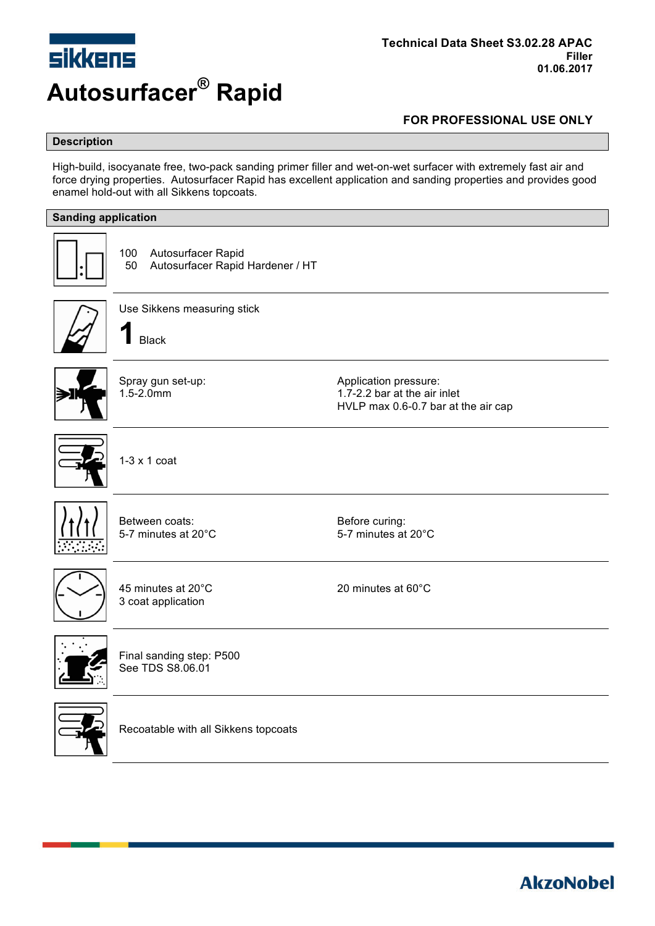

### **Description**

High-build, isocyanate free, two-pack sanding primer filler and wet-on-wet surfacer with extremely fast air and force drying properties. Autosurfacer Rapid has excellent application and sanding properties and provides good enamel hold-out with all Sikkens topcoats.

| <b>Sanding application</b> |                                                                     |                                                                                              |  |  |
|----------------------------|---------------------------------------------------------------------|----------------------------------------------------------------------------------------------|--|--|
|                            | 100<br>Autosurfacer Rapid<br>Autosurfacer Rapid Hardener / HT<br>50 |                                                                                              |  |  |
|                            | Use Sikkens measuring stick<br><b>Black</b>                         |                                                                                              |  |  |
|                            | Spray gun set-up:<br>$1.5 - 2.0$ mm                                 | Application pressure:<br>1.7-2.2 bar at the air inlet<br>HVLP max 0.6-0.7 bar at the air cap |  |  |
|                            | $1-3 \times 1$ coat                                                 |                                                                                              |  |  |
|                            | Between coats:<br>5-7 minutes at 20°C                               | Before curing:<br>5-7 minutes at 20°C                                                        |  |  |
|                            | 45 minutes at 20°C<br>3 coat application                            | 20 minutes at 60°C                                                                           |  |  |
|                            | Final sanding step: P500<br>See TDS S8.06.01                        |                                                                                              |  |  |
|                            | Recoatable with all Sikkens topcoats                                |                                                                                              |  |  |

**AkzoNobel**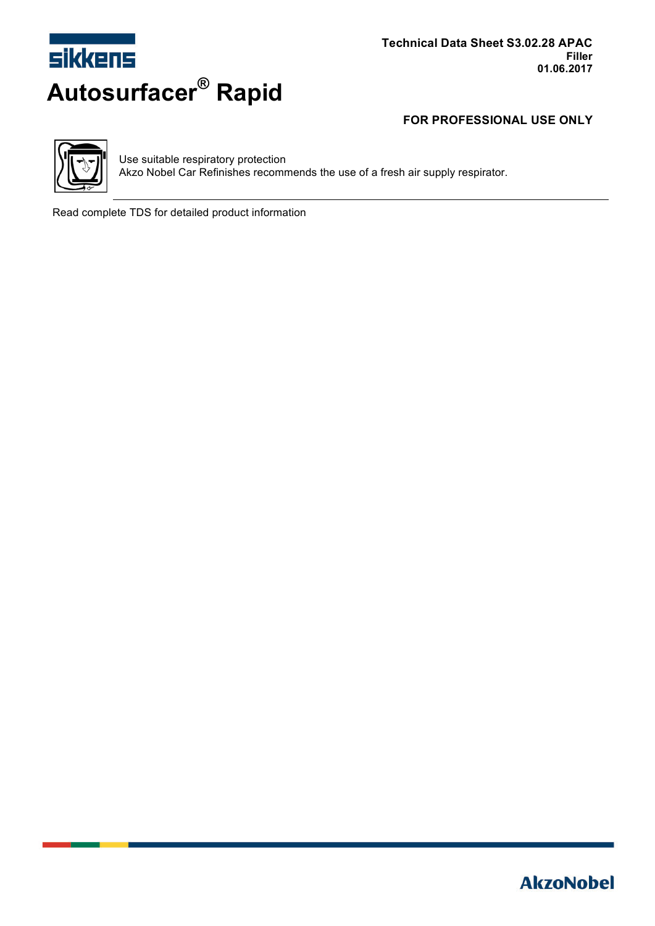



Use suitable respiratory protection Akzo Nobel Car Refinishes recommends the use of a fresh air supply respirator.

Read complete TDS for detailed product information

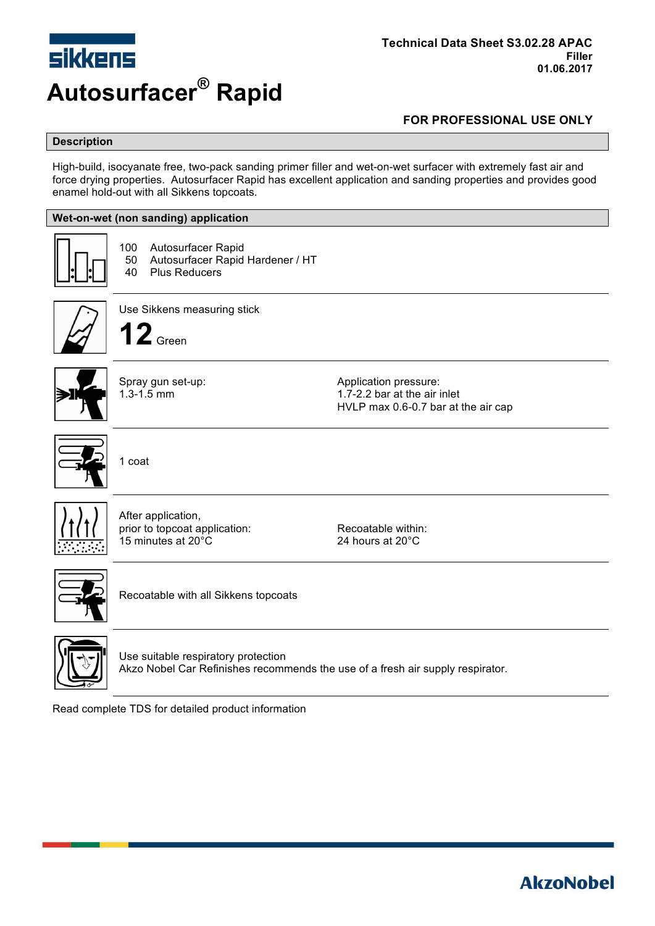

### **Description**

High-build, isocyanate free, two-pack sanding primer filler and wet-on-wet surfacer with extremely fast air and force drying properties. Autosurfacer Rapid has excellent application and sanding properties and provides good enamel hold-out with all Sikkens topcoats.

#### **Wet-on-wet (non sanding) application**



100 Autosurfacer Rapid

50 Autosurfacer Rapid Hardener / HT<br>40 Plus Reducers Plus Reducers





Use Sikkens measuring stick **12** Green

Spray gun set-up:  $\blacksquare$ 1.3-1.5 mm 1.7-2.2 bar at the air inlet HVLP max 0.6-0.7 bar at the air cap



1 coat



After application, prior to topcoat application: Recoatable within: 15 minutes at 20°C 24 hours at 20°C



Recoatable with all Sikkens topcoats



Use suitable respiratory protection Akzo Nobel Car Refinishes recommends the use of a fresh air supply respirator.

Read complete TDS for detailed product information

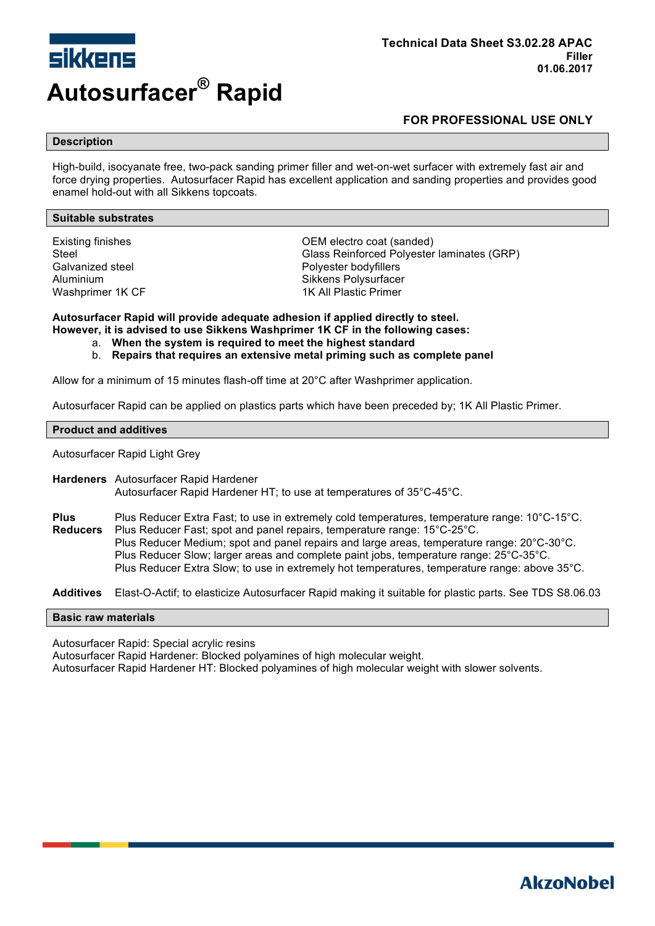

#### **Description**

High-build, isocyanate free, two-pack sanding primer filler and wet-on-wet surfacer with extremely fast air and force drying properties. Autosurfacer Rapid has excellent application and sanding properties and provides good enamel hold-out with all Sikkens topcoats.

#### **Suitable substrates**

Galvanized steel external provides a proportional provides a Polyester bodyfillers

Existing finishes OEM electro coat (sanded) Steel Glass Reinforced Polyester laminates (GRP) Aluminium Sikkens Polysurfacer Washprimer 1K CF 1K All Plastic Primer

**Autosurfacer Rapid will provide adequate adhesion if applied directly to steel. However, it is advised to use Sikkens Washprimer 1K CF in the following cases:**

- a. **When the system is required to meet the highest standard**
- b. **Repairs that requires an extensive metal priming such as complete panel**

Allow for a minimum of 15 minutes flash-off time at 20°C after Washprimer application.

Autosurfacer Rapid can be applied on plastics parts which have been preceded by; 1K All Plastic Primer.

#### **Product and additives**

Autosurfacer Rapid Light Grey

**Hardeners** Autosurfacer Rapid Hardener Autosurfacer Rapid Hardener HT; to use at temperatures of 35°C-45°C.

**Plus** Plus Reducer Extra Fast; to use in extremely cold temperatures, temperature range: 10°C-15°C. **Reducers** Plus Reducer Fast; spot and panel repairs, temperature range: 15°C-25°C. Plus Reducer Medium; spot and panel repairs and large areas, temperature range: 20°C-30°C. Plus Reducer Slow; larger areas and complete paint jobs, temperature range: 25°C-35°C. Plus Reducer Extra Slow; to use in extremely hot temperatures, temperature range: above 35°C.

**Additives** Elast-O-Actif; to elasticize Autosurfacer Rapid making it suitable for plastic parts. See TDS S8.06.03

#### **Basic raw materials**

Autosurfacer Rapid: Special acrylic resins

Autosurfacer Rapid Hardener: Blocked polyamines of high molecular weight.

Autosurfacer Rapid Hardener HT: Blocked polyamines of high molecular weight with slower solvents.

# **AkzoNobel**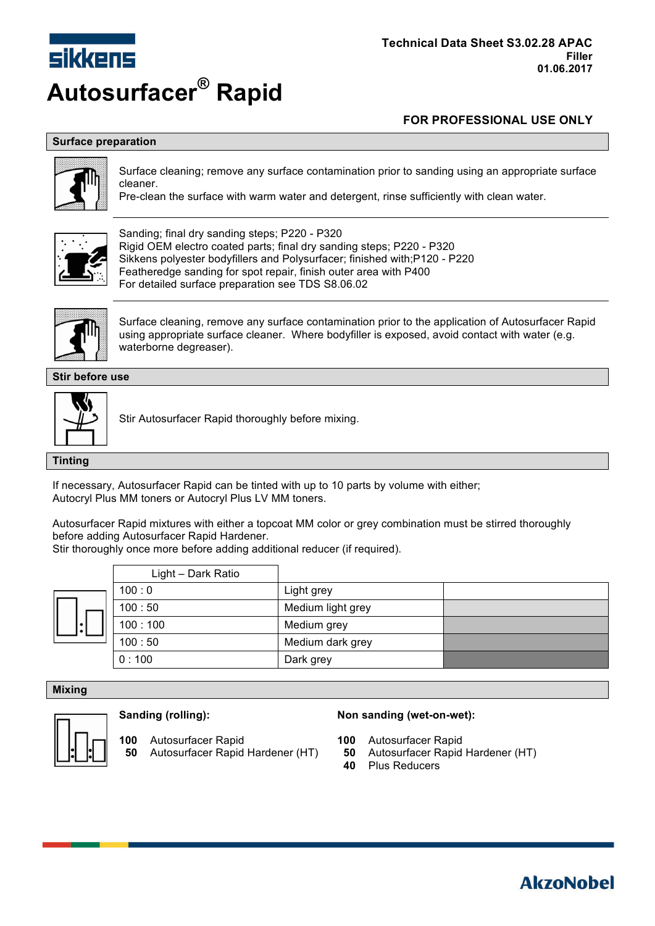

## **Surface preparation**



Surface cleaning; remove any surface contamination prior to sanding using an appropriate surface cleaner.

Pre-clean the surface with warm water and detergent, rinse sufficiently with clean water.



Sanding; final dry sanding steps; P220 - P320 Rigid OEM electro coated parts; final dry sanding steps; P220 - P320 Sikkens polyester bodyfillers and Polysurfacer; finished with;P120 - P220 Featheredge sanding for spot repair, finish outer area with P400 For detailed surface preparation see TDS S8.06.02



Surface cleaning, remove any surface contamination prior to the application of Autosurfacer Rapid using appropriate surface cleaner. Where bodyfiller is exposed, avoid contact with water (e.g. waterborne degreaser).

**Stir before use**



Stir Autosurfacer Rapid thoroughly before mixing.

**Tinting**

If necessary, Autosurfacer Rapid can be tinted with up to 10 parts by volume with either; Autocryl Plus MM toners or Autocryl Plus LV MM toners.

Autosurfacer Rapid mixtures with either a topcoat MM color or grey combination must be stirred thoroughly before adding Autosurfacer Rapid Hardener.

Stir thoroughly once more before adding additional reducer (if required).

Light – Dark Ratio

| 100:0   | Light grey        |  |
|---------|-------------------|--|
| 100:50  | Medium light grey |  |
| 100:100 | Medium grey       |  |
| 100:50  | Medium dark grey  |  |
| 0:100   | Dark grey         |  |
|         |                   |  |

#### **Mixing**



**100** Autosurfacer Rapid **100** Autosurfacer Rapid **50** Autosurfacer Rapid Hardener (HT) **50** Autosurfacer Rapid Hardener (HT)

#### **Sanding (rolling): Non sanding (wet-on-wet):**

- 
- 
- **40** Plus Reducers

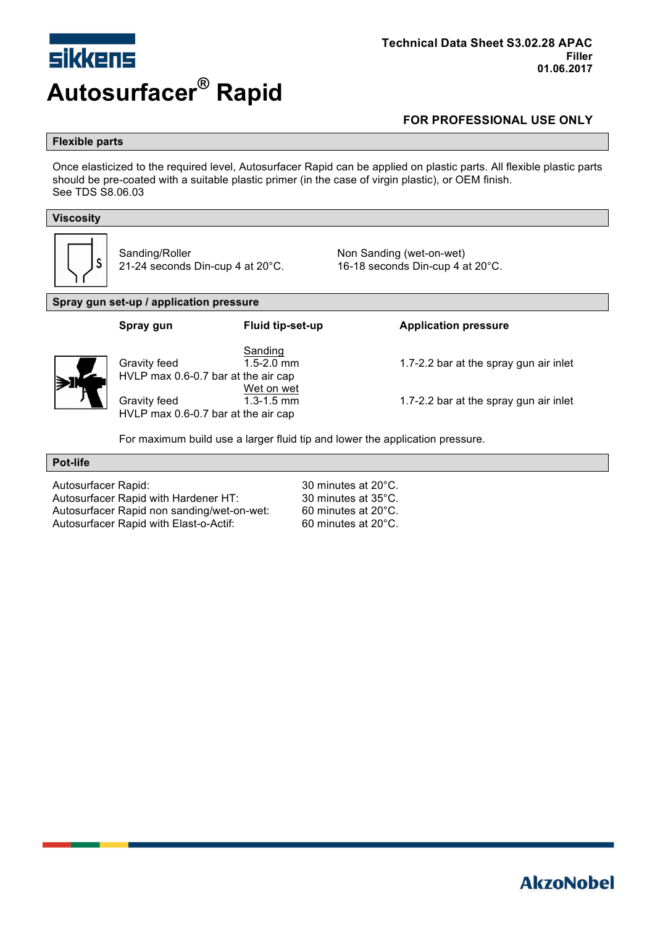

#### **Flexible parts**

Once elasticized to the required level, Autosurfacer Rapid can be applied on plastic parts. All flexible plastic parts should be pre-coated with a suitable plastic primer (in the case of virgin plastic), or OEM finish. See TDS S8.06.03

#### **Viscosity**



Sanding/Roller **Non Sanding (wet-on-wet)** 

21-24 seconds Din-cup 4 at 20°C. 16-18 seconds Din-cup 4 at 20°C.

#### **Spray gun set-up / application pressure**

| Spray gun                                                                                                  | <b>Fluid tip-set-up</b>                                   | <b>Application pressure</b>                                                      |
|------------------------------------------------------------------------------------------------------------|-----------------------------------------------------------|----------------------------------------------------------------------------------|
| Gravity feed<br>HVLP max 0.6-0.7 bar at the air cap<br>Gravity feed<br>HVLP max 0.6-0.7 bar at the air cap | Sanding<br>$1.5 - 2.0$ mm<br>Wet on wet<br>$1.3 - 1.5$ mm | 1.7-2.2 bar at the spray gun air inlet<br>1.7-2.2 bar at the spray gun air inlet |
|                                                                                                            |                                                           |                                                                                  |

For maximum build use a larger fluid tip and lower the application pressure.

#### **Pot-life**

Autosurfacer Rapid: 30 minutes at 20°C.<br>
Autosurfacer Rapid with Hardener HT: 30 minutes at 35°C. Autosurfacer Rapid with Hardener HT: 30 minutes at 35°C.<br>Autosurfacer Rapid non sanding/wet-on-wet: 60 minutes at 20°C. Autosurfacer Rapid non sanding/wet-on-wet: Autosurfacer Rapid with Elast-o-Actif: 60 minutes at 20°C.

# **AkzoNobel**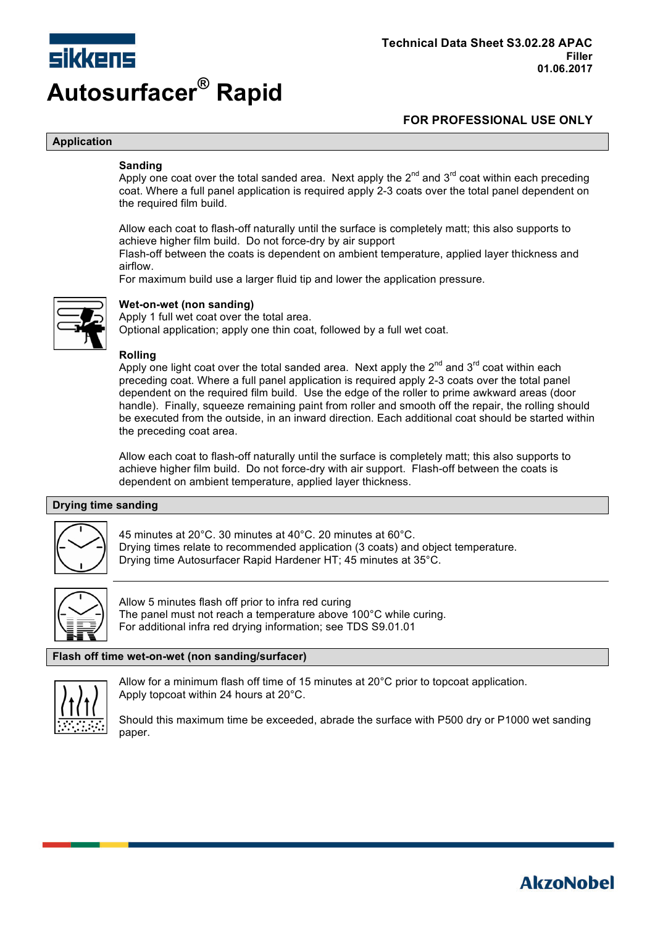

**AkzoNobel** 

#### **Application**

#### **Sanding**

Apply one coat over the total sanded area. Next apply the  $2^{nd}$  and  $3^{rd}$  coat within each preceding coat. Where a full panel application is required apply 2-3 coats over the total panel dependent on the required film build.

Allow each coat to flash-off naturally until the surface is completely matt; this also supports to achieve higher film build. Do not force-dry by air support

Flash-off between the coats is dependent on ambient temperature, applied layer thickness and airflow.

For maximum build use a larger fluid tip and lower the application pressure.



#### **Wet-on-wet (non sanding)**

Apply 1 full wet coat over the total area.

Optional application; apply one thin coat, followed by a full wet coat.

#### **Rolling**

Apply one light coat over the total sanded area. Next apply the  $2^{nd}$  and  $3^{rd}$  coat within each preceding coat. Where a full panel application is required apply 2-3 coats over the total panel dependent on the required film build. Use the edge of the roller to prime awkward areas (door handle). Finally, squeeze remaining paint from roller and smooth off the repair, the rolling should be executed from the outside, in an inward direction. Each additional coat should be started within the preceding coat area.

Allow each coat to flash-off naturally until the surface is completely matt; this also supports to achieve higher film build. Do not force-dry with air support. Flash-off between the coats is dependent on ambient temperature, applied layer thickness.

#### **Drying time sanding**



45 minutes at 20°C. 30 minutes at 40°C. 20 minutes at 60°C. Drying times relate to recommended application (3 coats) and object temperature. Drying time Autosurfacer Rapid Hardener HT; 45 minutes at 35°C.



Allow 5 minutes flash off prior to infra red curing The panel must not reach a temperature above 100°C while curing. For additional infra red drying information; see TDS S9.01.01

#### **Flash off time wet-on-wet (non sanding/surfacer)**



Allow for a minimum flash off time of 15 minutes at 20°C prior to topcoat application. Apply topcoat within 24 hours at 20°C.

Should this maximum time be exceeded, abrade the surface with P500 dry or P1000 wet sanding paper.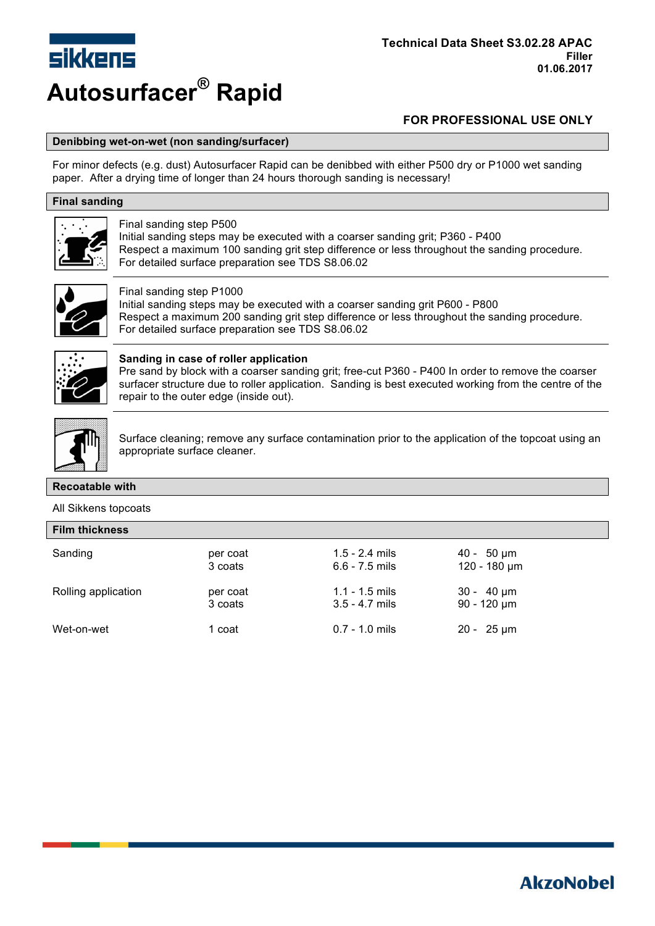

#### **Denibbing wet-on-wet (non sanding/surfacer)**

For minor defects (e.g. dust) Autosurfacer Rapid can be denibbed with either P500 dry or P1000 wet sanding paper. After a drying time of longer than 24 hours thorough sanding is necessary!

### **Final sanding**



#### Final sanding step P500

Initial sanding steps may be executed with a coarser sanding grit; P360 - P400 Respect a maximum 100 sanding grit step difference or less throughout the sanding procedure. For detailed surface preparation see TDS S8.06.02



#### Final sanding step P1000

Initial sanding steps may be executed with a coarser sanding grit P600 - P800 Respect a maximum 200 sanding grit step difference or less throughout the sanding procedure. For detailed surface preparation see TDS S8.06.02



#### **Sanding in case of roller application**

Pre sand by block with a coarser sanding grit; free-cut P360 - P400 In order to remove the coarser surfacer structure due to roller application. Sanding is best executed working from the centre of the repair to the outer edge (inside out).



Surface cleaning; remove any surface contamination prior to the application of the topcoat using an appropriate surface cleaner.

#### **Recoatable with**

#### All Sikkens topcoats

| <b>Film thickness</b> |          |                  |                       |  |  |  |
|-----------------------|----------|------------------|-----------------------|--|--|--|
| Sanding               | per coat | $1.5 - 2.4$ mils | $40 - 50 \mu m$       |  |  |  |
|                       | 3 coats  | $6.6 - 7.5$ mils | $120 - 180 \mu m$     |  |  |  |
| Rolling application   | per coat | $1.1 - 1.5$ mils | $30 - 40 \mu m$       |  |  |  |
|                       | 3 coats  | $3.5 - 4.7$ mils | $90 - 120 \mu m$      |  |  |  |
| Wet-on-wet            | 1 coat   | $0.7 - 1.0$ mils | $20 - 25 \,\text{µm}$ |  |  |  |